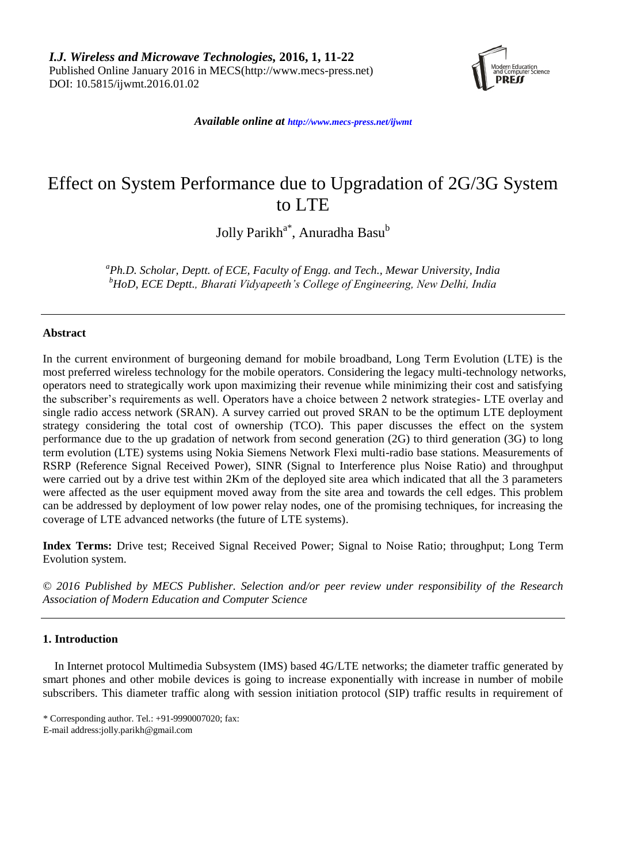

*Available online at http://www.mecs-press.net/ijwmt*

# Effect on System Performance due to Upgradation of 2G/3G System to LTE

Jolly Parikh<sup>a\*</sup>, Anuradha Basu<sup>b</sup>

*<sup>a</sup>Ph.D. Scholar, Deptt. of ECE, Faculty of Engg. and Tech., Mewar University, India <sup>b</sup>HoD, ECE Deptt., Bharati Vidyapeeth's College of Engineering, New Delhi, India*

# **Abstract**

In the current environment of burgeoning demand for mobile broadband, Long Term Evolution (LTE) is the most preferred wireless technology for the mobile operators. Considering the legacy multi-technology networks, operators need to strategically work upon maximizing their revenue while minimizing their cost and satisfying the subscriber's requirements as well. Operators have a choice between 2 network strategies- LTE overlay and single radio access network (SRAN). A survey carried out proved SRAN to be the optimum LTE deployment strategy considering the total cost of ownership (TCO). This paper discusses the effect on the system performance due to the up gradation of network from second generation (2G) to third generation (3G) to long term evolution (LTE) systems using Nokia Siemens Network Flexi multi-radio base stations. Measurements of RSRP (Reference Signal Received Power), SINR (Signal to Interference plus Noise Ratio) and throughput were carried out by a drive test within 2Km of the deployed site area which indicated that all the 3 parameters were affected as the user equipment moved away from the site area and towards the cell edges. This problem can be addressed by deployment of low power relay nodes, one of the promising techniques, for increasing the coverage of LTE advanced networks (the future of LTE systems).

**Index Terms:** Drive test; Received Signal Received Power; Signal to Noise Ratio; throughput; Long Term Evolution system.

*© 2016 Published by MECS Publisher. Selection and/or peer review under responsibility of the Research Association of Modern Education and Computer Science*

# **1. Introduction**

In Internet protocol Multimedia Subsystem (IMS) based 4G/LTE networks; the diameter traffic generated by smart phones and other mobile devices is going to increase exponentially with increase in number of mobile subscribers. This diameter traffic along with session initiation protocol (SIP) traffic results in requirement of

<sup>\*</sup> Corresponding author. Tel.: +91-9990007020; fax: E-mail address:jolly.parikh@gmail.com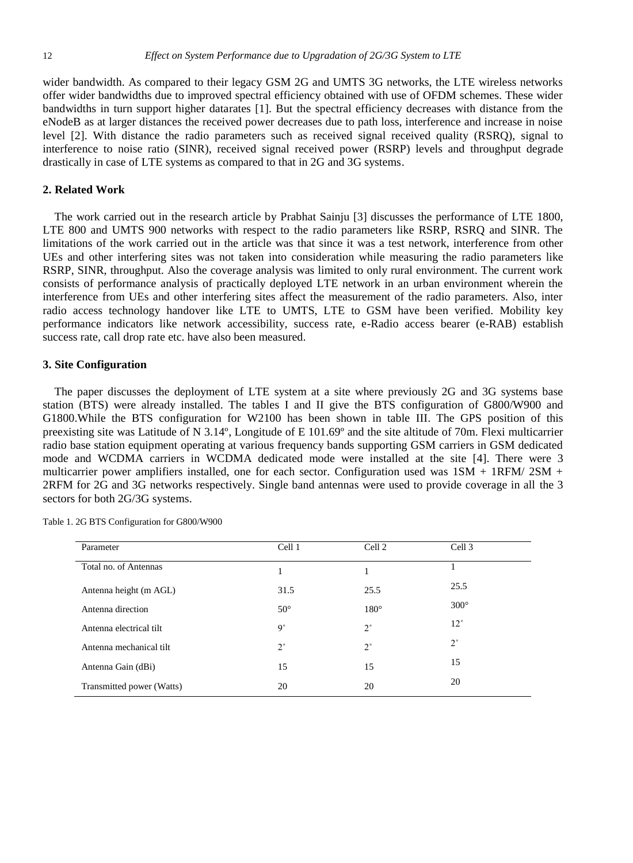wider bandwidth. As compared to their legacy GSM 2G and UMTS 3G networks, the LTE wireless networks offer wider bandwidths due to improved spectral efficiency obtained with use of OFDM schemes. These wider bandwidths in turn support higher datarates [1]. But the spectral efficiency decreases with distance from the eNodeB as at larger distances the received power decreases due to path loss, interference and increase in noise level [2]. With distance the radio parameters such as received signal received quality (RSRQ), signal to interference to noise ratio (SINR), received signal received power (RSRP) levels and throughput degrade drastically in case of LTE systems as compared to that in 2G and 3G systems.

#### **2. Related Work**

The work carried out in the research article by Prabhat Sainju [3] discusses the performance of LTE 1800, LTE 800 and UMTS 900 networks with respect to the radio parameters like RSRP, RSRQ and SINR. The limitations of the work carried out in the article was that since it was a test network, interference from other UEs and other interfering sites was not taken into consideration while measuring the radio parameters like RSRP, SINR, throughput. Also the coverage analysis was limited to only rural environment. The current work consists of performance analysis of practically deployed LTE network in an urban environment wherein the interference from UEs and other interfering sites affect the measurement of the radio parameters. Also, inter radio access technology handover like LTE to UMTS, LTE to GSM have been verified. Mobility key performance indicators like network accessibility, success rate, e-Radio access bearer (e-RAB) establish success rate, call drop rate etc. have also been measured.

# **3. Site Configuration**

The paper discusses the deployment of LTE system at a site where previously 2G and 3G systems base station (BTS) were already installed. The tables I and II give the BTS configuration of G800/W900 and G1800.While the BTS configuration for W2100 has been shown in table III. The GPS position of this preexisting site was Latitude of N 3.14°, Longitude of E 101.69° and the site altitude of 70m. Flexi multicarrier radio base station equipment operating at various frequency bands supporting GSM carriers in GSM dedicated mode and WCDMA carriers in WCDMA dedicated mode were installed at the site [4]. There were 3 multicarrier power amplifiers installed, one for each sector. Configuration used was 1SM + 1RFM/ 2SM + 2RFM for 2G and 3G networks respectively. Single band antennas were used to provide coverage in all the 3 sectors for both 2G/3G systems.

| Parameter                 | Cell 1       | Cell 2        | Cell 3       |
|---------------------------|--------------|---------------|--------------|
| Total no. of Antennas     | 1            |               |              |
| Antenna height (m AGL)    | 31.5         | 25.5          | 25.5         |
| Antenna direction         | $50^{\circ}$ | $180^{\circ}$ | 300°         |
| Antenna electrical tilt   | $9^{\circ}$  | $2^{\circ}$   | $12^{\circ}$ |
| Antenna mechanical tilt   | $2^{\circ}$  | $2^{\circ}$   | $2^{\circ}$  |
| Antenna Gain (dBi)        | 15           | 15            | 15           |
| Transmitted power (Watts) | 20           | 20            | 20           |

Table 1. 2G BTS Configuration for G800/W900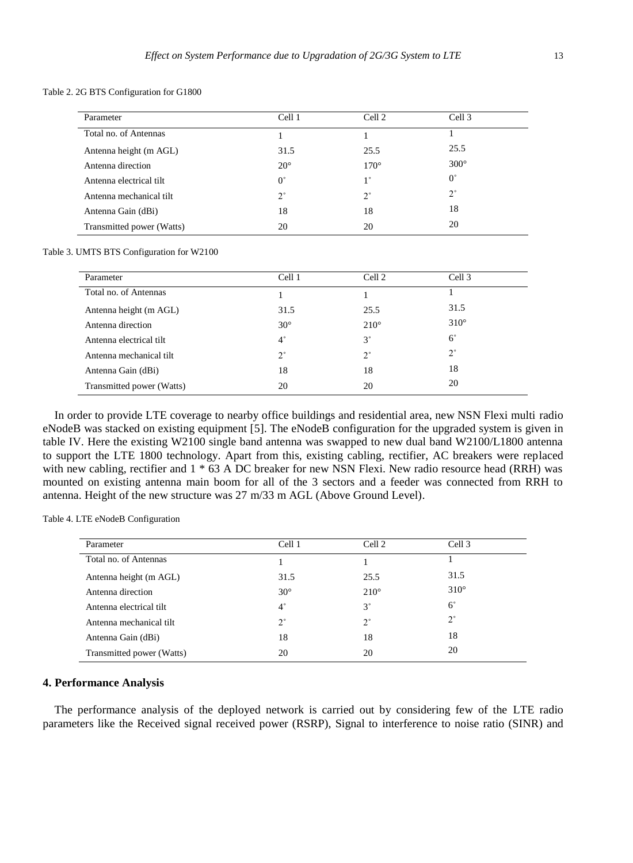Table 2. 2G BTS Configuration for G1800

| Parameter                 | Cell 1       | Cell 2      | Cell 3        |
|---------------------------|--------------|-------------|---------------|
| Total no. of Antennas     |              |             |               |
| Antenna height (m AGL)    | 31.5         | 25.5        | 25.5          |
| Antenna direction         | $20^{\circ}$ | 170°        | $300^{\circ}$ |
| Antenna electrical tilt   | $0^{\circ}$  | $1^{\circ}$ | $0^{\circ}$   |
| Antenna mechanical tilt   | $2^{\circ}$  | $2^{\circ}$ | $2^{\circ}$   |
| Antenna Gain (dBi)        | 18           | 18          | 18            |
| Transmitted power (Watts) | 20           | 20          | 20            |

Table 3. UMTS BTS Configuration for W2100

| Parameter                 | Cell 1       | Cell 2      | Cell 3      |  |
|---------------------------|--------------|-------------|-------------|--|
| Total no. of Antennas     |              |             |             |  |
| Antenna height (m AGL)    | 31.5         | 25.5        | 31.5        |  |
| Antenna direction         | $30^{\circ}$ | 210°        | 310°        |  |
| Antenna electrical tilt   | $4^{\circ}$  | $3^{\circ}$ | $6^{\circ}$ |  |
| Antenna mechanical tilt   | $2^{\circ}$  | $2^{\circ}$ | $2^{\circ}$ |  |
| Antenna Gain (dBi)        | 18           | 18          | 18          |  |
| Transmitted power (Watts) | 20           | 20          | 20          |  |

In order to provide LTE coverage to nearby office buildings and residential area, new NSN Flexi multi radio eNodeB was stacked on existing equipment [5]. The eNodeB configuration for the upgraded system is given in table IV. Here the existing W2100 single band antenna was swapped to new dual band W2100/L1800 antenna to support the LTE 1800 technology. Apart from this, existing cabling, rectifier, AC breakers were replaced with new cabling, rectifier and  $1 * 63$  A DC breaker for new NSN Flexi. New radio resource head (RRH) was mounted on existing antenna main boom for all of the 3 sectors and a feeder was connected from RRH to antenna. Height of the new structure was 27 m/33 m AGL (Above Ground Level).

Table 4. LTE eNodeB Configuration

| Parameter                 | Cell 1       | Cell 2        | Cell 3      |
|---------------------------|--------------|---------------|-------------|
| Total no. of Antennas     |              |               |             |
| Antenna height (m AGL)    | 31.5         | 25.5          | 31.5        |
| Antenna direction         | $30^{\circ}$ | $210^{\circ}$ | 310°        |
| Antenna electrical tilt   | $4^{\circ}$  | $3^{\circ}$   | $6^\circ$   |
| Antenna mechanical tilt   | $2^{\circ}$  | $2^{\circ}$   | $2^{\circ}$ |
| Antenna Gain (dBi)        | 18           | 18            | 18          |
| Transmitted power (Watts) | 20           | 20            | 20          |

#### **4. Performance Analysis**

The performance analysis of the deployed network is carried out by considering few of the LTE radio parameters like the Received signal received power (RSRP), Signal to interference to noise ratio (SINR) and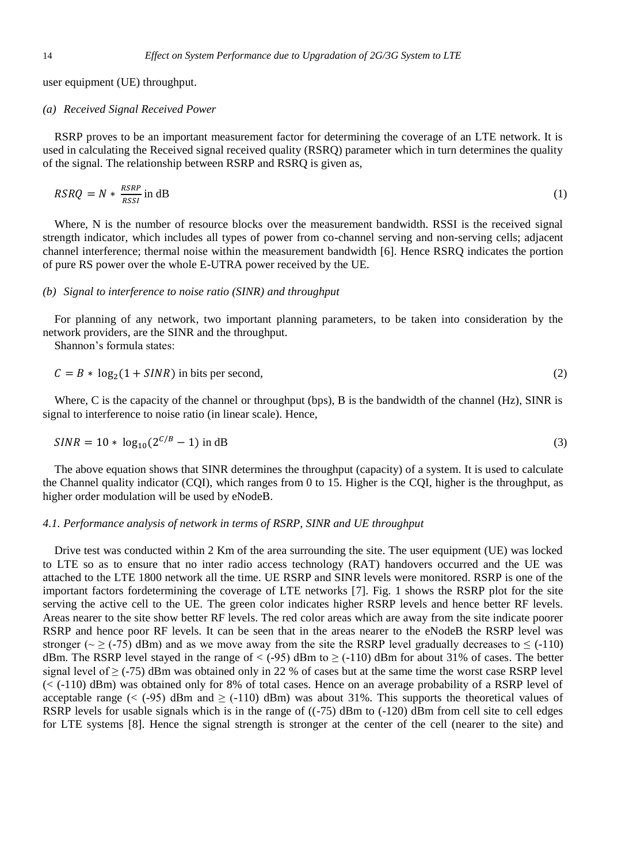user equipment (UE) throughput.

#### *(a) Received Signal Received Power*

RSRP proves to be an important measurement factor for determining the coverage of an LTE network. It is used in calculating the Received signal received quality (RSRQ) parameter which in turn determines the quality of the signal. The relationship between RSRP and RSRQ is given as,

$$
RSRQ = N * \frac{RSRP}{RSSI} \text{ in dB}
$$
 (1)

Where, N is the number of resource blocks over the measurement bandwidth. RSSI is the received signal strength indicator, which includes all types of power from co-channel serving and non-serving cells; adjacent channel interference; thermal noise within the measurement bandwidth [6]. Hence RSRQ indicates the portion of pure RS power over the whole E-UTRA power received by the UE.

#### *(b) Signal to interference to noise ratio (SINR) and throughput*

For planning of any network, two important planning parameters, to be taken into consideration by the network providers, are the SINR and the throughput.

Shannon's formula states:

$$
C = B * \log_2(1 + SINR)
$$
 in bits per second, (2)

Where, C is the capacity of the channel or throughput (bps), B is the bandwidth of the channel (Hz), SINR is signal to interference to noise ratio (in linear scale). Hence,

$$
SINR = 10 * \log_{10}(2^{C/B} - 1) \text{ in dB}
$$
 (3)

The above equation shows that SINR determines the throughput (capacity) of a system. It is used to calculate the Channel quality indicator (CQI), which ranges from 0 to 15. Higher is the CQI, higher is the throughput, as higher order modulation will be used by eNodeB.

#### *4.1. Performance analysis of network in terms of RSRP, SINR and UE throughput*

Drive test was conducted within 2 Km of the area surrounding the site. The user equipment (UE) was locked to LTE so as to ensure that no inter radio access technology (RAT) handovers occurred and the UE was attached to the LTE 1800 network all the time. UE RSRP and SINR levels were monitored. RSRP is one of the important factors fordetermining the coverage of LTE networks [7]. Fig. 1 shows the RSRP plot for the site serving the active cell to the UE. The green color indicates higher RSRP levels and hence better RF levels. Areas nearer to the site show better RF levels. The red color areas which are away from the site indicate poorer RSRP and hence poor RF levels. It can be seen that in the areas nearer to the eNodeB the RSRP level was stronger ( $\sim \ge$  (-75) dBm) and as we move away from the site the RSRP level gradually decreases to  $\le$  (-110) dBm. The RSRP level stayed in the range of <  $(-95)$  dBm to  $\geq (-110)$  dBm for about 31% of cases. The better signal level of  $\ge$  (-75) dBm was obtained only in 22 % of cases but at the same time the worst case RSRP level  $(<$  (-110) dBm) was obtained only for 8% of total cases. Hence on an average probability of a RSRP level of acceptable range ( $\lt$  (-95) dBm and  $\ge$  (-110) dBm) was about 31%. This supports the theoretical values of RSRP levels for usable signals which is in the range of  $((-75)$  dBm to  $(-120)$  dBm from cell site to cell edges for LTE systems [8]. Hence the signal strength is stronger at the center of the cell (nearer to the site) and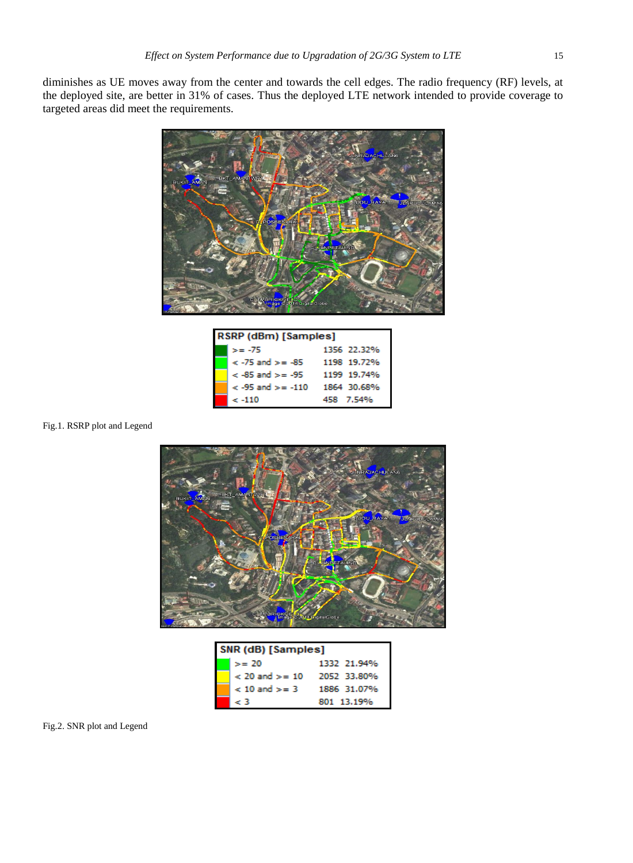diminishes as UE moves away from the center and towards the cell edges. The radio frequency (RF) levels, at the deployed site, are better in 31% of cases. Thus the deployed LTE network intended to provide coverage to targeted areas did meet the requirements.



| RSRP (dBm) [Samples] |                       |             |  |  |
|----------------------|-----------------------|-------------|--|--|
|                      | $>= -75$              | 1356 22.32% |  |  |
|                      | $< -75$ and $>= -85$  | 1198 19.72% |  |  |
|                      | $<$ -85 and $>=$ -95  | 1199 19.74% |  |  |
|                      | $<$ -95 and $>=$ -110 | 1864 30.68% |  |  |
|                      | $\epsilon$ -110       | 458 7.54%   |  |  |

### Fig.1. RSRP plot and Legend



| SNR (dB) [Samples] |             |  |  |
|--------------------|-------------|--|--|
| $>= 20$            | 1332 21.94% |  |  |
| $< 20$ and $>= 10$ | 2052 33.80% |  |  |
| $< 10$ and $>= 3$  | 1886 31.07% |  |  |
| - 3                | 801 13.19%  |  |  |

#### Fig.2. SNR plot and Legend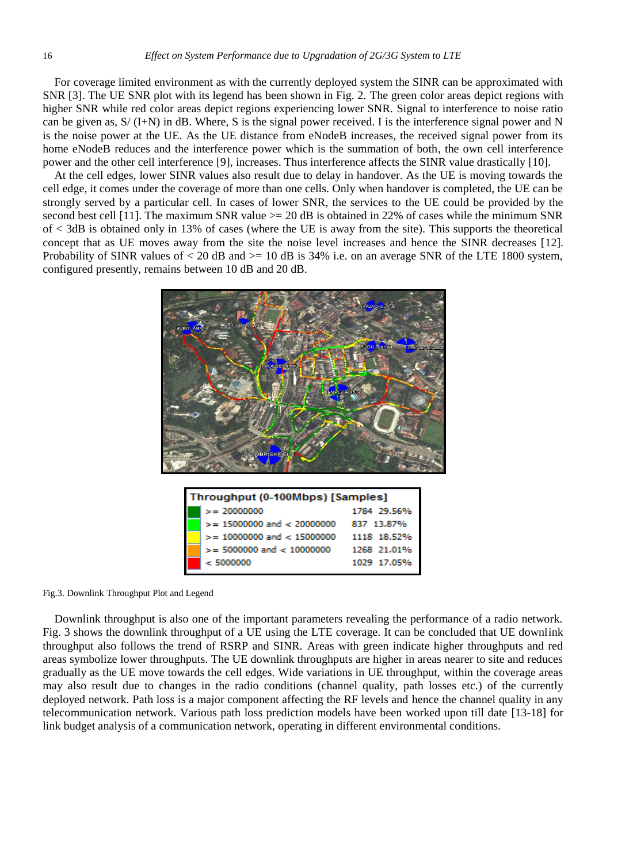For coverage limited environment as with the currently deployed system the SINR can be approximated with SNR [3]. The UE SNR plot with its legend has been shown in Fig. 2. The green color areas depict regions with higher SNR while red color areas depict regions experiencing lower SNR. Signal to interference to noise ratio can be given as,  $S/(I+N)$  in dB. Where, S is the signal power received. I is the interference signal power and N is the noise power at the UE. As the UE distance from eNodeB increases, the received signal power from its home eNodeB reduces and the interference power which is the summation of both, the own cell interference power and the other cell interference [9], increases. Thus interference affects the SINR value drastically [10].

At the cell edges, lower SINR values also result due to delay in handover. As the UE is moving towards the cell edge, it comes under the coverage of more than one cells. Only when handover is completed, the UE can be strongly served by a particular cell. In cases of lower SNR, the services to the UE could be provided by the second best cell [11]. The maximum SNR value  $>= 20$  dB is obtained in 22% of cases while the minimum SNR of < 3dB is obtained only in 13% of cases (where the UE is away from the site). This supports the theoretical concept that as UE moves away from the site the noise level increases and hence the SINR decreases [12]. Probability of SINR values of  $< 20$  dB and  $>= 10$  dB is 34% i.e. on an average SNR of the LTE 1800 system, configured presently, remains between 10 dB and 20 dB.



Fig.3. Downlink Throughput Plot and Legend

Downlink throughput is also one of the important parameters revealing the performance of a radio network. Fig. 3 shows the downlink throughput of a UE using the LTE coverage. It can be concluded that UE downlink throughput also follows the trend of RSRP and SINR. Areas with green indicate higher throughputs and red areas symbolize lower throughputs. The UE downlink throughputs are higher in areas nearer to site and reduces gradually as the UE move towards the cell edges. Wide variations in UE throughput, within the coverage areas may also result due to changes in the radio conditions (channel quality, path losses etc.) of the currently deployed network. Path loss is a major component affecting the RF levels and hence the channel quality in any telecommunication network. Various path loss prediction models have been worked upon till date [13-18] for link budget analysis of a communication network, operating in different environmental conditions.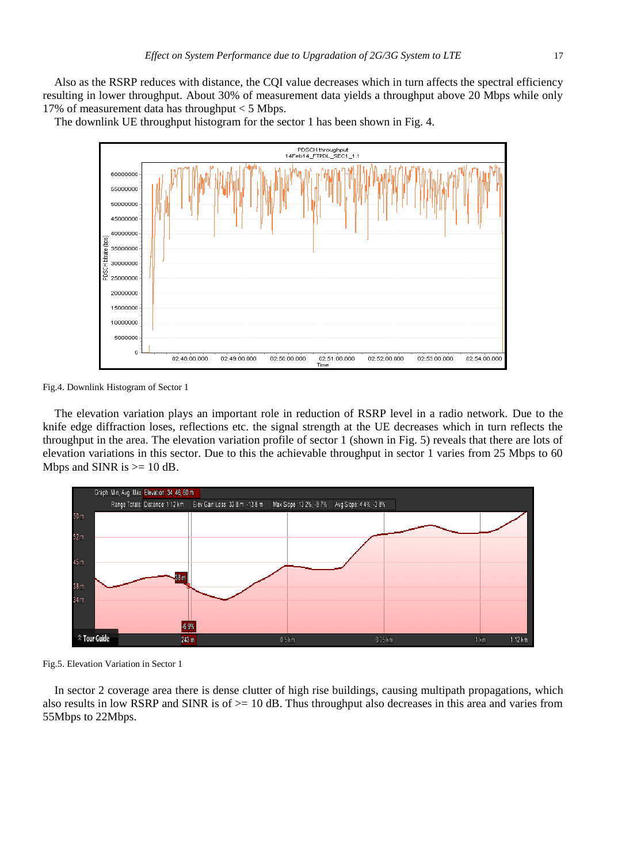Also as the RSRP reduces with distance, the CQI value decreases which in turn affects the spectral efficiency resulting in lower throughput. About 30% of measurement data yields a throughput above 20 Mbps while only 17% of measurement data has throughput < 5 Mbps.

The downlink UE throughput histogram for the sector 1 has been shown in Fig. 4.



Fig.4. Downlink Histogram of Sector 1

The elevation variation plays an important role in reduction of RSRP level in a radio network. Due to the knife edge diffraction loses, reflections etc. the signal strength at the UE decreases which in turn reflects the throughput in the area. The elevation variation profile of sector 1 (shown in Fig. 5) reveals that there are lots of elevation variations in this sector. Due to this the achievable throughput in sector 1 varies from 25 Mbps to 60 Mbps and SINR is  $>= 10$  dB.



Fig.5. Elevation Variation in Sector 1

In sector 2 coverage area there is dense clutter of high rise buildings, causing multipath propagations, which also results in low RSRP and SINR is of >= 10 dB. Thus throughput also decreases in this area and varies from 55Mbps to 22Mbps.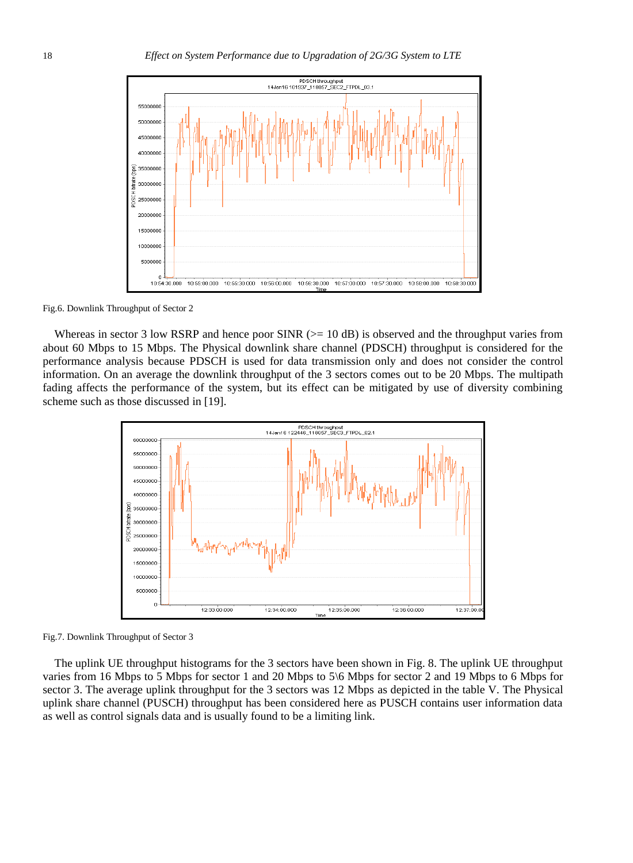

Fig.6. Downlink Throughput of Sector 2

Whereas in sector 3 low RSRP and hence poor SINR ( $>= 10$  dB) is observed and the throughput varies from about 60 Mbps to 15 Mbps. The Physical downlink share channel (PDSCH) throughput is considered for the performance analysis because PDSCH is used for data transmission only and does not consider the control information. On an average the downlink throughput of the 3 sectors comes out to be 20 Mbps. The multipath fading affects the performance of the system, but its effect can be mitigated by use of diversity combining scheme such as those discussed in [19].



Fig.7. Downlink Throughput of Sector 3

The uplink UE throughput histograms for the 3 sectors have been shown in Fig. 8. The uplink UE throughput varies from 16 Mbps to 5 Mbps for sector 1 and 20 Mbps to 5\6 Mbps for sector 2 and 19 Mbps to 6 Mbps for sector 3. The average uplink throughput for the 3 sectors was 12 Mbps as depicted in the table V. The Physical uplink share channel (PUSCH) throughput has been considered here as PUSCH contains user information data as well as control signals data and is usually found to be a limiting link.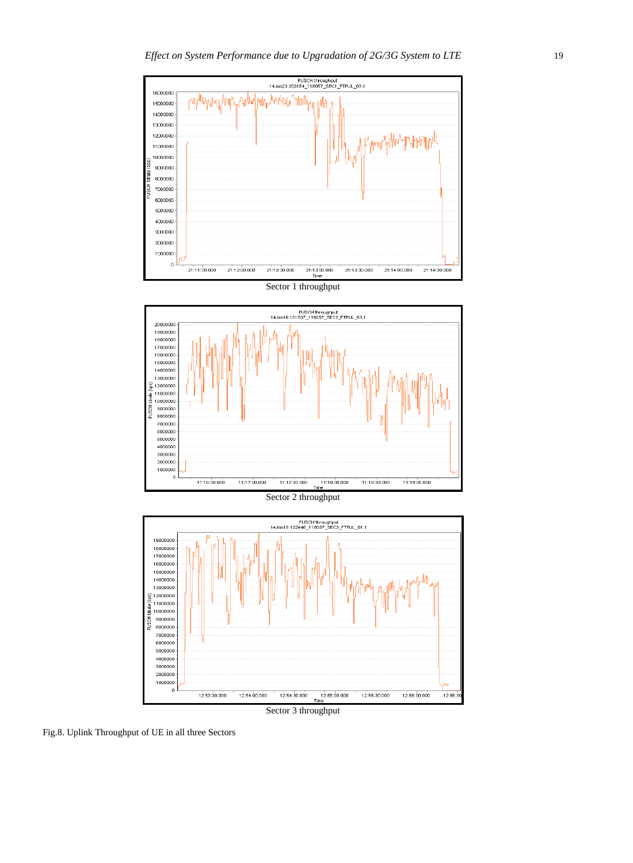







Sector 3 throughput

Fig.8. Uplink Throughput of UE in all three Sectors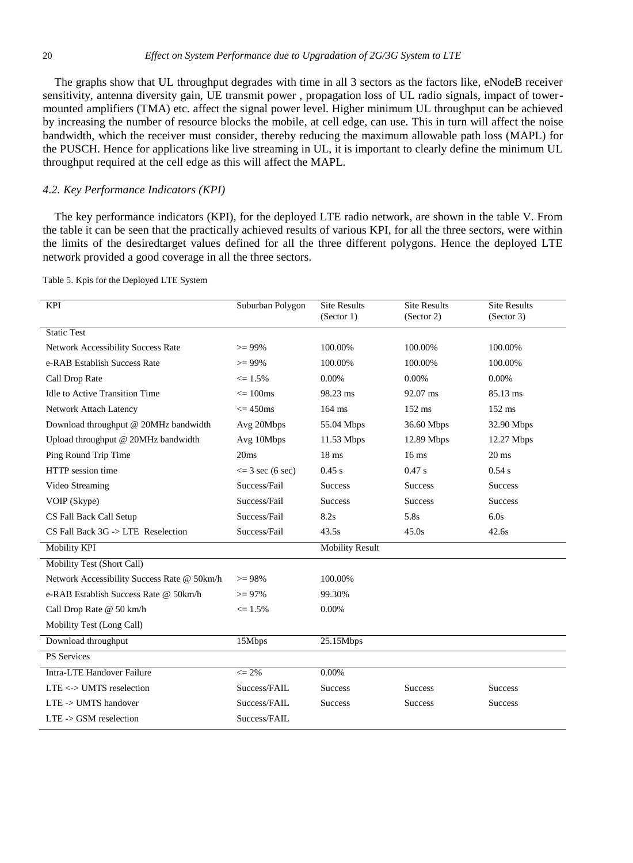The graphs show that UL throughput degrades with time in all 3 sectors as the factors like, eNodeB receiver sensitivity, antenna diversity gain, UE transmit power , propagation loss of UL radio signals, impact of towermounted amplifiers (TMA) etc. affect the signal power level. Higher minimum UL throughput can be achieved by increasing the number of resource blocks the mobile, at cell edge, can use. This in turn will affect the noise bandwidth, which the receiver must consider, thereby reducing the maximum allowable path loss (MAPL) for the PUSCH. Hence for applications like live streaming in UL, it is important to clearly define the minimum UL throughput required at the cell edge as this will affect the MAPL.

#### *4.2. Key Performance Indicators (KPI)*

The key performance indicators (KPI), for the deployed LTE radio network, are shown in the table V. From the table it can be seen that the practically achieved results of various KPI, for all the three sectors, were within the limits of the desiredtarget values defined for all the three different polygons. Hence the deployed LTE network provided a good coverage in all the three sectors.

| KPI                                             | Suburban Polygon             | <b>Site Results</b>    | <b>Site Results</b> | <b>Site Results</b> |
|-------------------------------------------------|------------------------------|------------------------|---------------------|---------------------|
|                                                 |                              | (Sector 1)             | (Sector 2)          | (Sector 3)          |
| <b>Static Test</b>                              |                              |                        |                     |                     |
| Network Accessibility Success Rate              | $>= 99\%$                    | 100.00%                | 100.00%             | 100.00%             |
| e-RAB Establish Success Rate                    | $>= 99\%$                    | 100.00%                | 100.00%             | 100.00%             |
| Call Drop Rate                                  | $\leq 1.5\%$                 | 0.00%                  | 0.00%               | 0.00%               |
| <b>Idle to Active Transition Time</b>           | $\epsilon$ = 100 $\text{ms}$ | 98.23 ms               | 92.07 ms            | 85.13 ms            |
| Network Attach Latency                          | $\epsilon$ = 450 $\text{ms}$ | $164$ ms               | $152$ ms            | $152$ ms            |
| Download throughput @ 20MHz bandwidth           | Avg 20Mbps                   | 55.04 Mbps             | 36.60 Mbps          | 32.90 Mbps          |
| Upload throughput @ 20MHz bandwidth             | Avg 10Mbps                   | 11.53 Mbps             | 12.89 Mbps          | $12.27$ Mbps        |
| Ping Round Trip Time                            | 20ms                         | 18 <sub>ms</sub>       | 16 <sub>ms</sub>    | $20 \text{ ms}$     |
| HTTP session time                               | $\leq$ 3 sec (6 sec)         | $0.45$ s               | 0.47 s              | 0.54 s              |
| Video Streaming                                 | Success/Fail                 | <b>Success</b>         | <b>Success</b>      | <b>Success</b>      |
| VOIP (Skype)                                    | Success/Fail                 | <b>Success</b>         | <b>Success</b>      | <b>Success</b>      |
| CS Fall Back Call Setup                         | Success/Fail                 | 8.2s                   | 5.8s                | 6.0s                |
| $CS$ Fall Back $3G \rightarrow LTE$ Reselection | Success/Fail                 | 43.5s                  | 45.0s               | 42.6s               |
| Mobility KPI                                    |                              | <b>Mobility Result</b> |                     |                     |
| Mobility Test (Short Call)                      |                              |                        |                     |                     |
| Network Accessibility Success Rate @ 50km/h     | $>= 98\%$                    | 100.00%                |                     |                     |
| e-RAB Establish Success Rate @ 50km/h           | $>= 97\%$                    | 99.30%                 |                     |                     |
| Call Drop Rate @ 50 km/h                        | $\leq 1.5\%$                 | 0.00%                  |                     |                     |
| Mobility Test (Long Call)                       |                              |                        |                     |                     |
| Download throughput                             | 15Mbps                       | 25.15Mbps              |                     |                     |
| <b>PS</b> Services                              |                              |                        |                     |                     |
| Intra-LTE Handover Failure                      | $\leq$ 2%                    | 0.00%                  |                     |                     |
| $LTE \le$ > UMTS reselection                    | Success/FAIL                 | <b>Success</b>         | <b>Success</b>      | <b>Success</b>      |
| LTE -> UMTS handover                            | Success/FAIL                 | <b>Success</b>         | <b>Success</b>      | <b>Success</b>      |
| LTE -> GSM reselection                          | Success/FAIL                 |                        |                     |                     |

Table 5. Kpis for the Deployed LTE System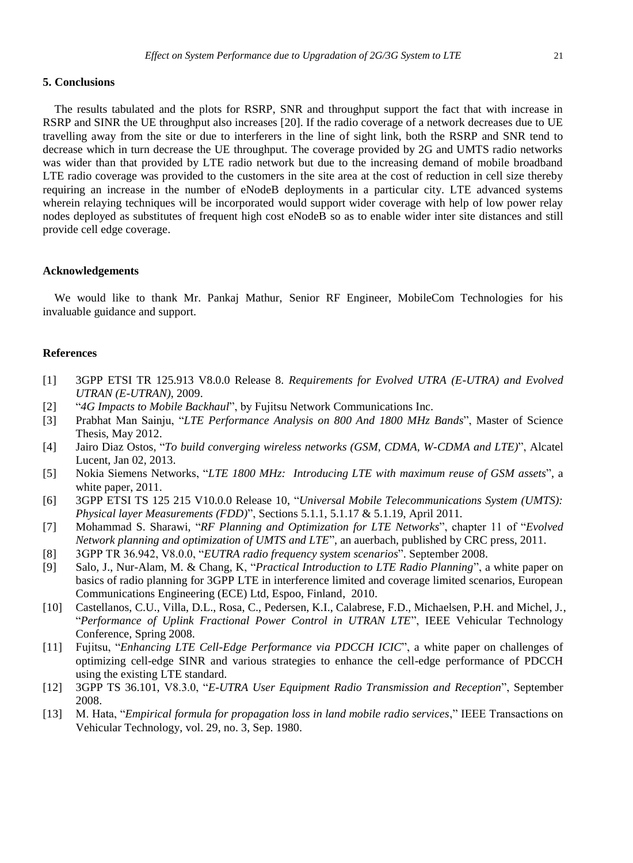#### **5. Conclusions**

The results tabulated and the plots for RSRP, SNR and throughput support the fact that with increase in RSRP and SINR the UE throughput also increases [20]. If the radio coverage of a network decreases due to UE travelling away from the site or due to interferers in the line of sight link, both the RSRP and SNR tend to decrease which in turn decrease the UE throughput. The coverage provided by 2G and UMTS radio networks was wider than that provided by LTE radio network but due to the increasing demand of mobile broadband LTE radio coverage was provided to the customers in the site area at the cost of reduction in cell size thereby requiring an increase in the number of eNodeB deployments in a particular city. LTE advanced systems wherein relaying techniques will be incorporated would support wider coverage with help of low power relay nodes deployed as substitutes of frequent high cost eNodeB so as to enable wider inter site distances and still provide cell edge coverage.

#### **Acknowledgements**

We would like to thank Mr. Pankaj Mathur, Senior RF Engineer, MobileCom Technologies for his invaluable guidance and support.

#### **References**

- [1] 3GPP ETSI TR 125.913 V8.0.0 Release 8. *Requirements for Evolved UTRA (E-UTRA) and Evolved UTRAN (E-UTRAN)*, 2009.
- [2] "*4G Impacts to Mobile Backhaul*", by Fujitsu Network Communications Inc.
- [3] Prabhat Man Sainju, "*LTE Performance Analysis on 800 And 1800 MHz Bands*", Master of Science Thesis, May 2012.
- [4] Jairo Diaz Ostos, "*To build converging wireless networks (GSM, CDMA, W-CDMA and LTE)*", Alcatel Lucent, Jan 02, 2013.
- [5] Nokia Siemens Networks, "*LTE 1800 MHz: Introducing LTE with maximum reuse of GSM assets*", a white paper, 2011.
- [6] 3GPP ETSI TS 125 215 V10.0.0 Release 10, "*Universal Mobile Telecommunications System (UMTS): Physical layer Measurements (FDD)*", Sections 5.1.1, 5.1.17 & 5.1.19, April 2011.
- [7] Mohammad S. Sharawi, "*RF Planning and Optimization for LTE Networks*", chapter 11 of "*Evolved Network planning and optimization of UMTS and LTE*", an auerbach, published by CRC press, 2011.
- [8] 3GPP TR 36.942, V8.0.0, "*EUTRA radio frequency system scenarios*". September 2008.
- [9] Salo, J., Nur-Alam, M. & Chang, K, "*Practical Introduction to LTE Radio Planning*", a white paper on basics of radio planning for 3GPP LTE in interference limited and coverage limited scenarios, European Communications Engineering (ECE) Ltd, Espoo, Finland, 2010.
- [10] Castellanos, C.U., Villa, D.L., Rosa, C., Pedersen, K.I., Calabrese, F.D., Michaelsen, P.H. and Michel, J., "*Performance of Uplink Fractional Power Control in UTRAN LTE*", IEEE Vehicular Technology Conference, Spring 2008.
- [11] Fujitsu, "*Enhancing LTE Cell-Edge Performance via PDCCH ICIC*", a white paper on challenges of optimizing cell-edge SINR and various strategies to enhance the cell-edge performance of PDCCH using the existing LTE standard.
- [12] 3GPP TS 36.101, V8.3.0, "*E-UTRA User Equipment Radio Transmission and Reception*", September 2008.
- [13] M. Hata, "*Empirical formula for propagation loss in land mobile radio services*," IEEE Transactions on Vehicular Technology, vol. 29, no. 3, Sep. 1980.